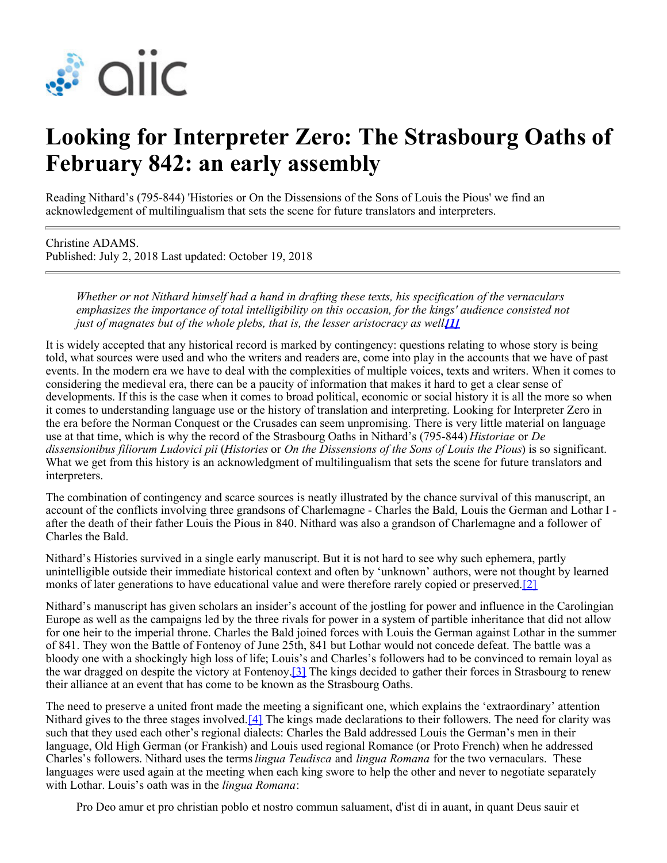

## **Looking for Interpreter Zero: The Strasbourg Oaths of February 842: an early assembly**

Reading Nithard's (795-844) 'Histories or On the Dissensions of the Sons of Louis the Pious' we find an acknowledgement of multilingualism that sets the scene for future translators and interpreters.

Christine ADAMS. Published: July 2, 2018 Last updated: October 19, 2018

> *Whether or not Nithard himself had a hand in drafting these texts, his specification of the vernaculars emphasizes the importance of total intelligibility on this occasion, for the kings' audience consisted not just of magnates but of the whole plebs, that is, the lesser aristocracy as well*

It is widely accepted that any historical record is marked by contingency: questions relating to whose story is being told, what sources were used and who the writers and readers are, come into play in the accounts that we have of past events. In the modern era we have to deal with the complexities of multiple voices, texts and writers. When it comes to considering the medieval era, there can be a paucity of information that makes it hard to get a clear sense of developments. If this is the case when it comes to broad political, economic or social history it is all the more so when it comes to understanding language use or the history of translation and interpreting. Looking for Interpreter Zero in the era before the Norman Conquest or the Crusades can seem unpromising. There is very little material on language use at that time, which is why the record of the Strasbourg Oaths in Nithard's (795-844) *Historiae* or *De dissensionibus filiorum Ludovici pii* (*Histories* or *On the Dissensions of the Sons of Louis the Pious*) is so significant. What we get from this history is an acknowledgment of multilingualism that sets the scene for future translators and interpreters.

The combination of contingency and scarce sources is neatly illustrated by the chance survival of this manuscript, an account of the conflicts involving three grandsons of Charlemagne - Charles the Bald, Louis the German and Lothar I after the death of their father Louis the Pious in 840. Nithard was also a grandson of Charlemagne and a follower of Charles the Bald.

Nithard's Histories survived in a single early manuscript. But it is not hard to see why such ephemera, partly unintelligible outside their immediate historical context and often by 'unknown' authors, were not thought by learned monks of later generations to have educational value and were therefore rarely copied or preserved.[\[2\]](https://members.aiic.net/authoring/new#_ftn2)

Nithard's manuscript has given scholars an insider's account of the jostling for power and influence in the Carolingian Europe as well as the campaigns led by the three rivals for power in a system of partible inheritance that did not allow for one heir to the imperial throne. Charles the Bald joined forces with Louis the German against Lothar in the summer of 841. They won the Battle of Fontenoy of June 25th, 841 but Lothar would not concede defeat. The battle was a bloody one with a shockingly high loss of life; Louis's and Charles's followers had to be convinced to remain loyal as the war dragged on despite the victory at Fontenoy[.\[3\]](https://members.aiic.net/authoring/new#_ftn3) The kings decided to gather their forces in Strasbourg to renew their alliance at an event that has come to be known as the Strasbourg Oaths.

The need to preserve a united front made the meeting a significant one, which explains the 'extraordinary' attention Nithard gives to the three stages involved.<sup>[\[4\]](https://members.aiic.net/authoring/new#_ftn4)</sup> The kings made declarations to their followers. The need for clarity was such that they used each other's regional dialects: Charles the Bald addressed Louis the German's men in their language, Old High German (or Frankish) and Louis used regional Romance (or Proto French) when he addressed Charles's followers. Nithard uses the terms *lingua Teudisca* and *lingua Romana* for the two vernaculars. These languages were used again at the meeting when each king swore to help the other and never to negotiate separately with Lothar. Louis's oath was in the *lingua Romana*:

Pro Deo amur et pro christian poblo et nostro commun saluament, d'ist di in auant, in quant Deus sauir et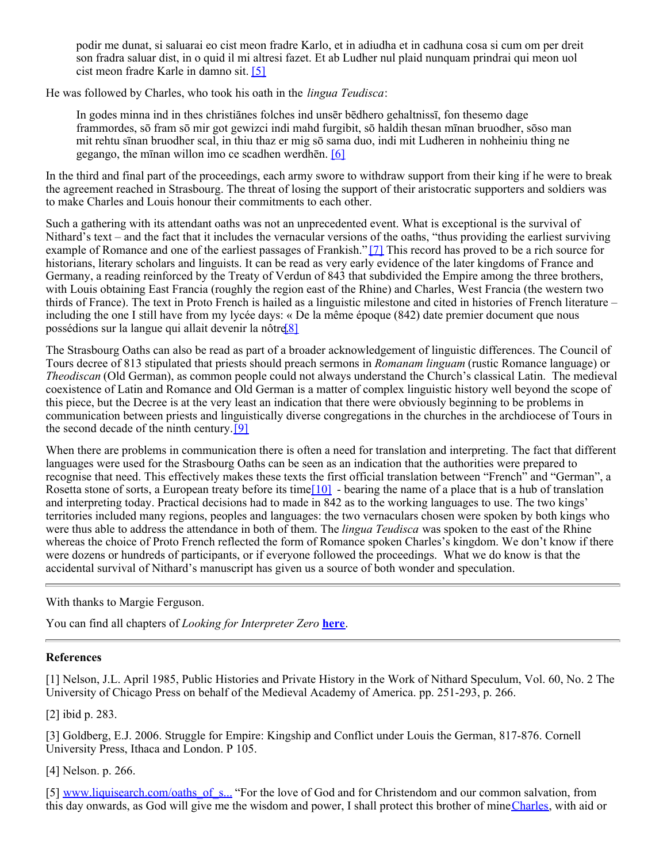podir me dunat, si saluarai eo cist meon fradre Karlo, et in adiudha et in cadhuna cosa si cum om per dreit son fradra saluar dist, in o quid il mi altresi fazet. Et ab Ludher nul plaid nunquam prindrai qui meon uol cist meon fradre Karle in damno sit. [\[5\]](https://members.aiic.net/authoring/new#_ftn5)

He was followed by Charles, who took his oath in the *lingua Teudisca*:

In godes minna ind in thes christiānes folches ind unsēr bēdhero gehaltnissī, fon thesemo dage frammordes, sō fram sō mir got gewizci indi mahd furgibit, sō haldih thesan mīnan bruodher, sōso man mit rehtu sīnan bruodher scal, in thiu thaz er mig sō sama duo, indi mit Ludheren in nohheiniu thing ne gegango, the mīnan willon imo ce scadhen werdhēn. [\[6\]](https://members.aiic.net/authoring/new#_ftn6)

In the third and final part of the proceedings, each army swore to withdraw support from their king if he were to break the agreement reached in Strasbourg. The threat of losing the support of their aristocratic supporters and soldiers was to make Charles and Louis honour their commitments to each other.

Such a gathering with its attendant oaths was not an unprecedented event. What is exceptional is the survival of Nithard's text – and the fact that it includes the vernacular versions of the oaths, "thus providing the earliest surviving example of Romance and one of the earliest passages of Frankish." [\[7\]](https://members.aiic.net/authoring/new#_ftn7) This record has proved to be a rich source for historians, literary scholars and linguists. It can be read as very early evidence of the later kingdoms of France and Germany, a reading reinforced by the Treaty of Verdun of 843 that subdivided the Empire among the three brothers, with Louis obtaining East Francia (roughly the region east of the Rhine) and Charles, West Francia (the western two thirds of France). The text in Proto French is hailed as a linguistic milestone and cited in histories of French literature – including the one I still have from my lycée days: « De la même époque (842) date premier document que nous possédions sur la langue qui allait devenir la nôtre<sup>[8]</sup>

The Strasbourg Oaths can also be read as part of a broader acknowledgement of linguistic differences. The Council of Tours decree of 813 stipulated that priests should preach sermons in *Romanam linguam* (rustic Romance language) or *Theodiscan* (Old German), as common people could not always understand the Church's classical Latin. The medieval coexistence of Latin and Romance and Old German is a matter of complex linguistic history well beyond the scope of this piece, but the Decree is at the very least an indication that there were obviously beginning to be problems in communication between priests and linguistically diverse congregations in the churches in the archdiocese of Tours in the second decade of the ninth century.[\[9\]](https://members.aiic.net/authoring/new#_ftn9)

When there are problems in communication there is often a need for translation and interpreting. The fact that different languages were used for the Strasbourg Oaths can be seen as an indication that the authorities were prepared to recognise that need. This effectively makes these texts the first official translation between "French" and "German", a Rosetta stone of sorts, a European treaty before its time $[10]$  - bearing the name of a place that is a hub of translation and interpreting today. Practical decisions had to made in 842 as to the working languages to use. The two kings' territories included many regions, peoples and languages: the two vernaculars chosen were spoken by both kings who were thus able to address the attendance in both of them. The *lingua Teudisca* was spoken to the east of the Rhine whereas the choice of Proto French reflected the form of Romance spoken Charles's kingdom. We don't know if there were dozens or hundreds of participants, or if everyone followed the proceedings. What we do know is that the accidental survival of Nithard's manuscript has given us a source of both wonder and speculation.

With thanks to Margie Ferguson.

You can find all chapters of *Looking for Interpreter Zero* **[here](https://members.aiic.net/search/tags/interpreter-zero)**.

## **References**

[1] Nelson, J.L. April 1985, Public Histories and Private History in the Work of Nithard Speculum, Vol. 60, No. 2 The University of Chicago Press on behalf of the Medieval Academy of America. pp. 251-293, p. 266.

[2] ibid p. 283.

[3] Goldberg, E.J. 2006. Struggle for Empire: Kingship and Conflict under Louis the German, 817-876. Cornell University Press, Ithaca and London. P 105.

[4] Nelson. p. 266.

[5] [www.liquisearch.com/oaths\\_of\\_s...](http://www.liquisearch.com/oaths_of_strasbourg) "For the love of God and for Christendom and our common salvation, from this day onwards, as God will give me the wisdom and power, I shall protect this brother of mine [Charles](http://www.liquisearch.com/what_are_charles), with aid or